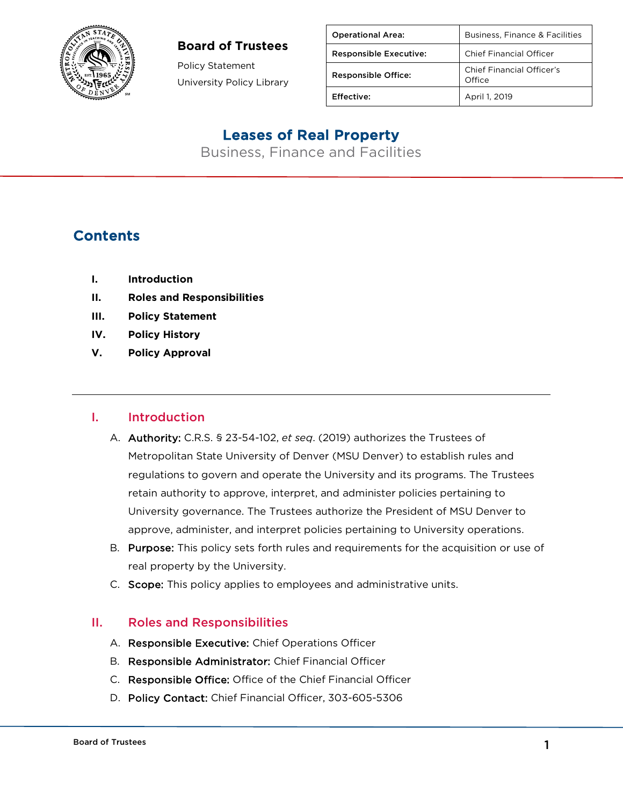

### **Board of Trustees**

Policy Statement University Policy Library

| <b>Operational Area:</b>      | Business, Finance & Facilities      |
|-------------------------------|-------------------------------------|
| <b>Responsible Executive:</b> | <b>Chief Financial Officer</b>      |
| <b>Responsible Office:</b>    | Chief Financial Officer's<br>Office |
| Effective:                    | April 1, 2019                       |

## Leases of Real Property

Business, Finance and Facilities

## **Contents**

- **I. Introduction**
- **II. Roles and Responsibilities**
- **III. Policy Statement**
- **IV. Policy History**
- **V. Policy Approval**

### I. Introduction

- A. Authority: C.R.S. § 23-54-102, *et seq*. (2019) authorizes the Trustees of Metropolitan State University of Denver (MSU Denver) to establish rules and regulations to govern and operate the University and its programs. The Trustees retain authority to approve, interpret, and administer policies pertaining to University governance. The Trustees authorize the President of MSU Denver to approve, administer, and interpret policies pertaining to University operations.
- B. Purpose: This policy sets forth rules and requirements for the acquisition or use of real property by the University.
- C. Scope: This policy applies to employees and administrative units.

### II. Roles and Responsibilities

- A. Responsible Executive: Chief Operations Officer
- B. Responsible Administrator: Chief Financial Officer
- C. Responsible Office: Office of the Chief Financial Officer
- D. Policy Contact: Chief Financial Officer, 303-605-5306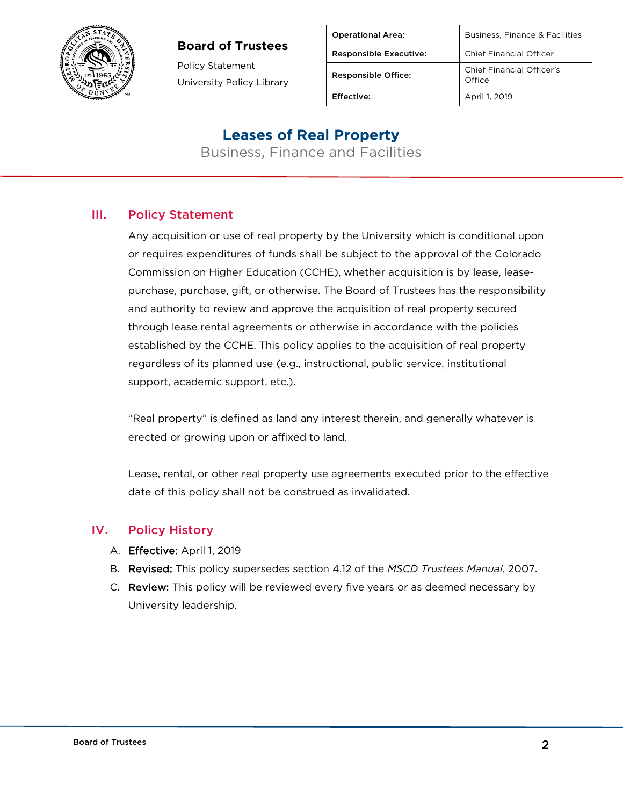

### **Board of Trustees**

Policy Statement University Policy Library

| <b>Operational Area:</b>      | Business, Finance & Facilities      |
|-------------------------------|-------------------------------------|
| <b>Responsible Executive:</b> | <b>Chief Financial Officer</b>      |
| <b>Responsible Office:</b>    | Chief Financial Officer's<br>Office |
| Effective:                    | April 1, 2019                       |

### Leases of Real Property

Business, Finance and Facilities

### III. Policy Statement

Any acquisition or use of real property by the University which is conditional upon or requires expenditures of funds shall be subject to the approval of the Colorado Commission on Higher Education (CCHE), whether acquisition is by lease, leasepurchase, purchase, gift, or otherwise. The Board of Trustees has the responsibility and authority to review and approve the acquisition of real property secured through lease rental agreements or otherwise in accordance with the policies established by the CCHE. This policy applies to the acquisition of real property regardless of its planned use (e.g., instructional, public service, institutional support, academic support, etc.).

"Real property" is defined as land any interest therein, and generally whatever is erected or growing upon or affixed to land.

Lease, rental, or other real property use agreements executed prior to the effective date of this policy shall not be construed as invalidated.

### IV. Policy History

- A. Effective: April 1, 2019
- B. Revised: This policy supersedes section 4.12 of the *MSCD Trustees Manual*, 2007.
- C. Review: This policy will be reviewed every five years or as deemed necessary by University leadership.